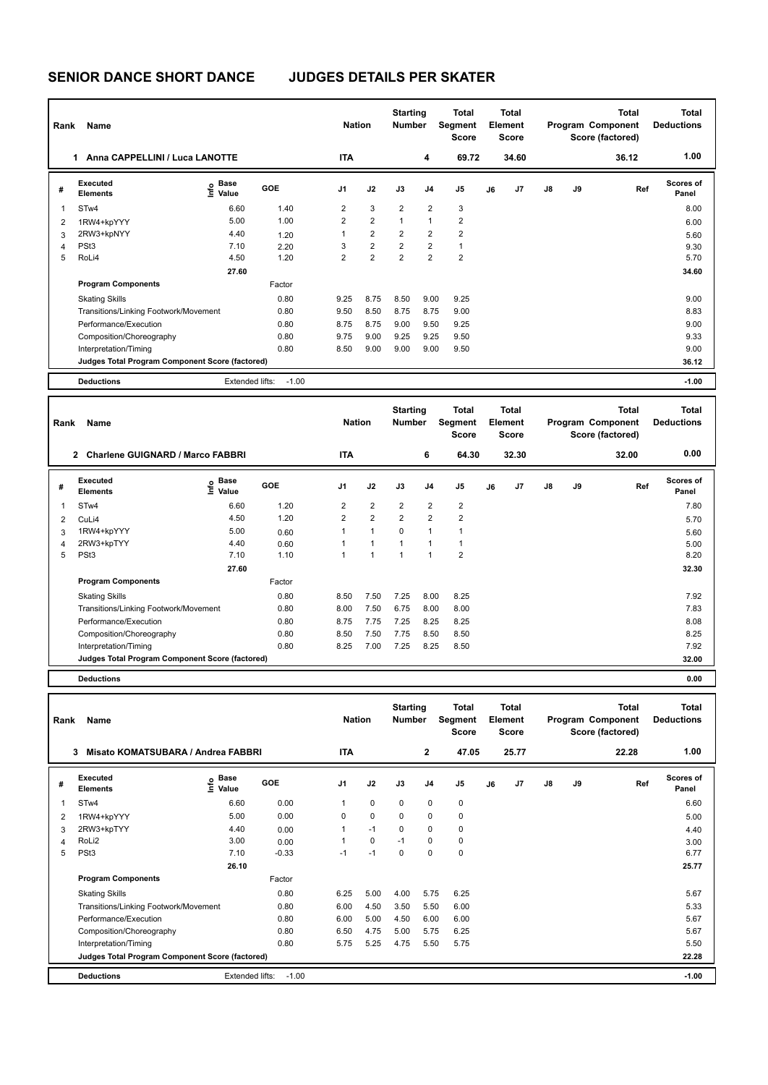## **SENIOR DANCE SHORT DANCE JUDGES DETAILS PER SKATER**

| Rank | Name                                            |                                             |            | <b>Nation</b>  |                | <b>Starting</b><br><b>Number</b> |                | <b>Total</b><br>Segment<br><b>Score</b> | Total<br>Element<br><b>Score</b> |                |    |    | <b>Total</b><br>Program Component<br>Score (factored) | Total<br><b>Deductions</b> |
|------|-------------------------------------------------|---------------------------------------------|------------|----------------|----------------|----------------------------------|----------------|-----------------------------------------|----------------------------------|----------------|----|----|-------------------------------------------------------|----------------------------|
|      | Anna CAPPELLINI / Luca LANOTTE<br>1.            |                                             |            | <b>ITA</b>     |                |                                  | 4              | 69.72                                   |                                  | 34.60          |    |    | 36.12                                                 | 1.00                       |
| #    | Executed<br><b>Elements</b>                     | <b>Base</b><br>e <sup>Base</sup><br>⊆ Value | <b>GOE</b> | J <sub>1</sub> | J2             | J3                               | J <sub>4</sub> | J <sub>5</sub>                          | J6                               | J <sub>7</sub> | J8 | J9 | Ref                                                   | Scores of<br>Panel         |
| 1    | STw4                                            | 6.60                                        | 1.40       | $\overline{2}$ | 3              | 2                                | $\overline{2}$ | 3                                       |                                  |                |    |    |                                                       | 8.00                       |
| 2    | 1RW4+kpYYY                                      | 5.00                                        | 1.00       | $\overline{2}$ | $\overline{2}$ | $\overline{1}$                   | $\overline{1}$ | $\overline{\mathbf{c}}$                 |                                  |                |    |    |                                                       | 6.00                       |
| 3    | 2RW3+kpNYY                                      | 4.40                                        | 1.20       | 1              | $\overline{2}$ | $\overline{2}$                   | $\overline{2}$ | $\overline{\mathbf{c}}$                 |                                  |                |    |    |                                                       | 5.60                       |
| 4    | PSt <sub>3</sub>                                | 7.10                                        | 2.20       | 3              | $\overline{2}$ | $\overline{2}$                   | $\overline{2}$ | $\mathbf{1}$                            |                                  |                |    |    |                                                       | 9.30                       |
| 5    | RoLi4                                           | 4.50                                        | 1.20       | $\overline{2}$ | $\overline{2}$ | $\overline{2}$                   | $\overline{2}$ | $\overline{2}$                          |                                  |                |    |    |                                                       | 5.70                       |
|      |                                                 | 27.60                                       |            |                |                |                                  |                |                                         |                                  |                |    |    |                                                       | 34.60                      |
|      | <b>Program Components</b>                       |                                             | Factor     |                |                |                                  |                |                                         |                                  |                |    |    |                                                       |                            |
|      | <b>Skating Skills</b>                           |                                             | 0.80       | 9.25           | 8.75           | 8.50                             | 9.00           | 9.25                                    |                                  |                |    |    |                                                       | 9.00                       |
|      | Transitions/Linking Footwork/Movement           |                                             | 0.80       | 9.50           | 8.50           | 8.75                             | 8.75           | 9.00                                    |                                  |                |    |    |                                                       | 8.83                       |
|      | Performance/Execution                           |                                             | 0.80       | 8.75           | 8.75           | 9.00                             | 9.50           | 9.25                                    |                                  |                |    |    |                                                       | 9.00                       |
|      | Composition/Choreography                        |                                             | 0.80       | 9.75           | 9.00           | 9.25                             | 9.25           | 9.50                                    |                                  |                |    |    |                                                       | 9.33                       |
|      | Interpretation/Timing                           |                                             | 0.80       | 8.50           | 9.00           | 9.00                             | 9.00           | 9.50                                    |                                  |                |    |    |                                                       | 9.00                       |
|      | Judges Total Program Component Score (factored) |                                             |            |                |                |                                  |                |                                         |                                  |                |    |    |                                                       | 36.12                      |
|      | <b>Deductions</b>                               | Extended lifts:                             | $-1.00$    |                |                |                                  |                |                                         |                                  |                |    |    |                                                       | $-1.00$                    |

| Rank           | Name                                                      |                                           |            | <b>Nation</b>  |                      | <b>Starting</b><br><b>Number</b> |                | Total<br>Segment<br><b>Score</b> |    | <b>Total</b><br>Element<br><b>Score</b> |               |    | <b>Total</b><br>Program Component<br>Score (factored) | Total<br><b>Deductions</b> |
|----------------|-----------------------------------------------------------|-------------------------------------------|------------|----------------|----------------------|----------------------------------|----------------|----------------------------------|----|-----------------------------------------|---------------|----|-------------------------------------------------------|----------------------------|
|                | <b>Charlene GUIGNARD / Marco FABBRI</b><br>$\overline{2}$ |                                           |            | <b>ITA</b>     |                      |                                  | 6              | 64.30                            |    | 32.30                                   |               |    | 32.00                                                 | 0.00                       |
| #              | Executed<br><b>Elements</b>                               | $\frac{e}{E}$ Base<br>$\frac{e}{E}$ Value | <b>GOE</b> | J <sub>1</sub> | J2                   | J3                               | J <sub>4</sub> | J <sub>5</sub>                   | J6 | J <sub>7</sub>                          | $\mathsf{J}8$ | J9 | Ref                                                   | <b>Scores of</b><br>Panel  |
| 1              | STw4                                                      | 6.60                                      | 1.20       | $\overline{2}$ | $\overline{2}$       | $\overline{2}$                   | $\overline{2}$ | $\overline{2}$                   |    |                                         |               |    |                                                       | 7.80                       |
| $\overline{2}$ | CuLi4                                                     | 4.50                                      | 1.20       | $\overline{2}$ | $\overline{2}$       | $\overline{2}$                   | $\overline{2}$ | $\overline{2}$                   |    |                                         |               |    |                                                       | 5.70                       |
| 3              | 1RW4+kpYYY                                                | 5.00                                      | 0.60       | 1              | $\overline{1}$       | 0                                | 1              | 1                                |    |                                         |               |    |                                                       | 5.60                       |
| 4              | 2RW3+kpTYY                                                | 4.40                                      | 0.60       | 1              | 1                    | 1                                |                | 1                                |    |                                         |               |    |                                                       | 5.00                       |
| 5              | PSt <sub>3</sub>                                          | 7.10                                      | 1.10       | 1              | $\blacktriangleleft$ | 1                                | 1              | $\overline{2}$                   |    |                                         |               |    |                                                       | 8.20                       |
|                |                                                           | 27.60                                     |            |                |                      |                                  |                |                                  |    |                                         |               |    |                                                       | 32.30                      |
|                | <b>Program Components</b>                                 |                                           | Factor     |                |                      |                                  |                |                                  |    |                                         |               |    |                                                       |                            |
|                | <b>Skating Skills</b>                                     |                                           | 0.80       | 8.50           | 7.50                 | 7.25                             | 8.00           | 8.25                             |    |                                         |               |    |                                                       | 7.92                       |
|                | Transitions/Linking Footwork/Movement                     |                                           | 0.80       | 8.00           | 7.50                 | 6.75                             | 8.00           | 8.00                             |    |                                         |               |    |                                                       | 7.83                       |
|                | Performance/Execution                                     |                                           | 0.80       | 8.75           | 7.75                 | 7.25                             | 8.25           | 8.25                             |    |                                         |               |    |                                                       | 8.08                       |
|                | Composition/Choreography                                  |                                           | 0.80       | 8.50           | 7.50                 | 7.75                             | 8.50           | 8.50                             |    |                                         |               |    |                                                       | 8.25                       |
|                | Interpretation/Timing                                     |                                           | 0.80       | 8.25           | 7.00                 | 7.25                             | 8.25           | 8.50                             |    |                                         |               |    |                                                       | 7.92                       |
|                | Judges Total Program Component Score (factored)           |                                           |            |                |                      |                                  |                |                                  |    |                                         |               |    |                                                       | 32.00                      |
|                | <b>Deductions</b>                                         |                                           |            |                |                      |                                  |                |                                  |    |                                         |               |    |                                                       | 0.00                       |

| Rank | Name                                            |                       |            | <b>Nation</b>  |             | <b>Starting</b><br><b>Number</b> |                | Total<br>Segment<br><b>Score</b> |    | <b>Total</b><br>Element<br><b>Score</b> |    |    | <b>Total</b><br>Program Component<br>Score (factored) | <b>Total</b><br><b>Deductions</b> |
|------|-------------------------------------------------|-----------------------|------------|----------------|-------------|----------------------------------|----------------|----------------------------------|----|-----------------------------------------|----|----|-------------------------------------------------------|-----------------------------------|
|      | 3<br>Misato KOMATSUBARA / Andrea FABBRI         |                       |            | <b>ITA</b>     |             |                                  | $\overline{2}$ | 47.05                            |    | 25.77                                   |    |    | 22.28                                                 | 1.00                              |
| #    | Executed<br><b>Elements</b>                     | $\sum_{i=1}^{n}$ Base | <b>GOE</b> | J <sub>1</sub> | J2          | J3                               | J <sub>4</sub> | J5                               | J6 | J <sub>7</sub>                          | J8 | J9 | Ref                                                   | Scores of<br>Panel                |
|      | STw4                                            | 6.60                  | 0.00       |                | 0           | 0                                | 0              | 0                                |    |                                         |    |    |                                                       | 6.60                              |
| 2    | 1RW4+kpYYY                                      | 5.00                  | 0.00       | 0              | $\mathbf 0$ | 0                                | $\Omega$       | $\pmb{0}$                        |    |                                         |    |    |                                                       | 5.00                              |
| 3    | 2RW3+kpTYY                                      | 4.40                  | 0.00       |                | $-1$        | $\Omega$                         | 0              | 0                                |    |                                         |    |    |                                                       | 4.40                              |
| 4    | RoLi2                                           | 3.00                  | 0.00       |                | 0           | $-1$                             | 0              | 0                                |    |                                         |    |    |                                                       | 3.00                              |
| 5    | PSt <sub>3</sub>                                | 7.10                  | $-0.33$    | $-1$           | $-1$        | $\Omega$                         | $\Omega$       | 0                                |    |                                         |    |    |                                                       | 6.77                              |
|      |                                                 | 26.10                 |            |                |             |                                  |                |                                  |    |                                         |    |    |                                                       | 25.77                             |
|      | <b>Program Components</b>                       |                       | Factor     |                |             |                                  |                |                                  |    |                                         |    |    |                                                       |                                   |
|      | <b>Skating Skills</b>                           |                       | 0.80       | 6.25           | 5.00        | 4.00                             | 5.75           | 6.25                             |    |                                         |    |    |                                                       | 5.67                              |
|      | Transitions/Linking Footwork/Movement           |                       | 0.80       | 6.00           | 4.50        | 3.50                             | 5.50           | 6.00                             |    |                                         |    |    |                                                       | 5.33                              |
|      | Performance/Execution                           |                       | 0.80       | 6.00           | 5.00        | 4.50                             | 6.00           | 6.00                             |    |                                         |    |    |                                                       | 5.67                              |
|      | Composition/Choreography                        |                       | 0.80       | 6.50           | 4.75        | 5.00                             | 5.75           | 6.25                             |    |                                         |    |    |                                                       | 5.67                              |
|      | Interpretation/Timing                           |                       | 0.80       | 5.75           | 5.25        | 4.75                             | 5.50           | 5.75                             |    |                                         |    |    |                                                       | 5.50                              |
|      | Judges Total Program Component Score (factored) |                       |            |                |             |                                  |                |                                  |    |                                         |    |    |                                                       | 22.28                             |
|      | <b>Deductions</b>                               | Extended lifts:       | $-1.00$    |                |             |                                  |                |                                  |    |                                         |    |    |                                                       | $-1.00$                           |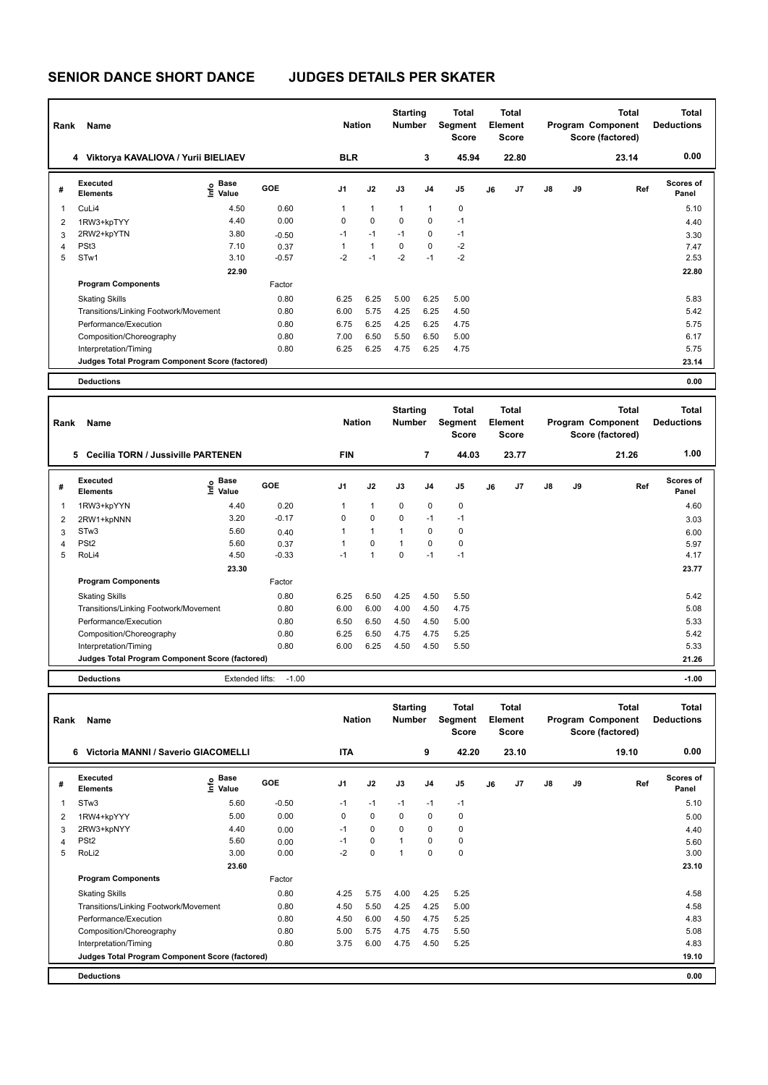## **SENIOR DANCE SHORT DANCE JUDGES DETAILS PER SKATER**

| Rank | Name                                            |                   |            | <b>Nation</b>  |              | <b>Starting</b><br><b>Number</b> |                | <b>Total</b><br>Segment<br><b>Score</b> |    | Total<br>Element<br><b>Score</b> |    |    | <b>Total</b><br>Program Component<br>Score (factored) | <b>Total</b><br><b>Deductions</b> |
|------|-------------------------------------------------|-------------------|------------|----------------|--------------|----------------------------------|----------------|-----------------------------------------|----|----------------------------------|----|----|-------------------------------------------------------|-----------------------------------|
|      | 4 Viktorya KAVALIOVA / Yurii BIELIAEV           |                   |            | <b>BLR</b>     |              |                                  | 3              | 45.94                                   |    | 22.80                            |    |    | 23.14                                                 | 0.00                              |
| #    | Executed<br><b>Elements</b>                     | e Base<br>E Value | <b>GOE</b> | J <sub>1</sub> | J2           | J3                               | J <sub>4</sub> | J5                                      | J6 | J <sub>7</sub>                   | J8 | J9 | Ref                                                   | <b>Scores of</b><br>Panel         |
| 1    | CuLi4                                           | 4.50              | 0.60       | 1              | $\mathbf{1}$ | $\overline{1}$                   | $\overline{1}$ | 0                                       |    |                                  |    |    |                                                       | 5.10                              |
| 2    | 1RW3+kpTYY                                      | 4.40              | 0.00       | 0              | $\mathbf 0$  | 0                                | 0              | $-1$                                    |    |                                  |    |    |                                                       | 4.40                              |
| 3    | 2RW2+kpYTN                                      | 3.80              | $-0.50$    | $-1$           | $-1$         | $-1$                             | $\mathbf 0$    | $-1$                                    |    |                                  |    |    |                                                       | 3.30                              |
| 4    | PSt <sub>3</sub>                                | 7.10              | 0.37       | 1              | $\mathbf{1}$ | 0                                | 0              | $-2$                                    |    |                                  |    |    |                                                       | 7.47                              |
| 5    | STw1                                            | 3.10              | $-0.57$    | $-2$           | $-1$         | $-2$                             | $-1$           | $-2$                                    |    |                                  |    |    |                                                       | 2.53                              |
|      |                                                 | 22.90             |            |                |              |                                  |                |                                         |    |                                  |    |    |                                                       | 22.80                             |
|      | <b>Program Components</b>                       |                   | Factor     |                |              |                                  |                |                                         |    |                                  |    |    |                                                       |                                   |
|      | <b>Skating Skills</b>                           |                   | 0.80       | 6.25           | 6.25         | 5.00                             | 6.25           | 5.00                                    |    |                                  |    |    |                                                       | 5.83                              |
|      | Transitions/Linking Footwork/Movement           |                   | 0.80       | 6.00           | 5.75         | 4.25                             | 6.25           | 4.50                                    |    |                                  |    |    |                                                       | 5.42                              |
|      | Performance/Execution                           |                   | 0.80       | 6.75           | 6.25         | 4.25                             | 6.25           | 4.75                                    |    |                                  |    |    |                                                       | 5.75                              |
|      | Composition/Choreography                        |                   | 0.80       | 7.00           | 6.50         | 5.50                             | 6.50           | 5.00                                    |    |                                  |    |    |                                                       | 6.17                              |
|      | Interpretation/Timing                           |                   | 0.80       | 6.25           | 6.25         | 4.75                             | 6.25           | 4.75                                    |    |                                  |    |    |                                                       | 5.75                              |
|      | Judges Total Program Component Score (factored) |                   |            |                |              |                                  |                |                                         |    |                                  |    |    |                                                       | 23.14                             |
|      | <b>Deductions</b>                               |                   |            |                |              |                                  |                |                                         |    |                                  |    |    |                                                       | 0.00                              |

| Rank           | Name                                            |                                  |            | <b>Nation</b>  |                | <b>Starting</b><br><b>Number</b> |                | Total<br>Segment<br><b>Score</b> |    | Total<br>Element<br><b>Score</b> |               |    | <b>Total</b><br>Program Component<br>Score (factored) | Total<br><b>Deductions</b> |
|----------------|-------------------------------------------------|----------------------------------|------------|----------------|----------------|----------------------------------|----------------|----------------------------------|----|----------------------------------|---------------|----|-------------------------------------------------------|----------------------------|
|                | <b>Cecilia TORN / Jussiville PARTENEN</b><br>5. |                                  |            | <b>FIN</b>     |                |                                  | $\overline{7}$ | 44.03                            |    | 23.77                            |               |    | 21.26                                                 | 1.00                       |
| #              | <b>Executed</b><br><b>Elements</b>              | <b>Base</b><br>e Base<br>⊆ Value | <b>GOE</b> | J <sub>1</sub> | J2             | J3                               | J <sub>4</sub> | J <sub>5</sub>                   | J6 | J7                               | $\mathsf{J}8$ | J9 | Ref                                                   | Scores of<br>Panel         |
| 1              | 1RW3+kpYYN                                      | 4.40                             | 0.20       | 1              | $\mathbf{1}$   | $\Omega$                         | 0              | 0                                |    |                                  |               |    |                                                       | 4.60                       |
| 2              | 2RW1+kpNNN                                      | 3.20                             | $-0.17$    | 0              | $\mathbf 0$    | 0                                | $-1$           | $-1$                             |    |                                  |               |    |                                                       | 3.03                       |
| 3              | STw3                                            | 5.60                             | 0.40       |                | $\mathbf{1}$   | $\mathbf{1}$                     | $\Omega$       | $\mathbf 0$                      |    |                                  |               |    |                                                       | 6.00                       |
| $\overline{4}$ | PSt <sub>2</sub>                                | 5.60                             | 0.37       |                | $\Omega$       | $\overline{1}$                   | $\Omega$       | 0                                |    |                                  |               |    |                                                       | 5.97                       |
| 5              | RoLi4                                           | 4.50                             | $-0.33$    | $-1$           | $\overline{1}$ | $\Omega$                         | $-1$           | $-1$                             |    |                                  |               |    |                                                       | 4.17                       |
|                |                                                 | 23.30                            |            |                |                |                                  |                |                                  |    |                                  |               |    |                                                       | 23.77                      |
|                | <b>Program Components</b>                       |                                  | Factor     |                |                |                                  |                |                                  |    |                                  |               |    |                                                       |                            |
|                | <b>Skating Skills</b>                           |                                  | 0.80       | 6.25           | 6.50           | 4.25                             | 4.50           | 5.50                             |    |                                  |               |    |                                                       | 5.42                       |
|                | Transitions/Linking Footwork/Movement           |                                  | 0.80       | 6.00           | 6.00           | 4.00                             | 4.50           | 4.75                             |    |                                  |               |    |                                                       | 5.08                       |
|                | Performance/Execution                           |                                  | 0.80       | 6.50           | 6.50           | 4.50                             | 4.50           | 5.00                             |    |                                  |               |    |                                                       | 5.33                       |
|                | Composition/Choreography                        |                                  | 0.80       | 6.25           | 6.50           | 4.75                             | 4.75           | 5.25                             |    |                                  |               |    |                                                       | 5.42                       |
|                | Interpretation/Timing                           |                                  | 0.80       | 6.00           | 6.25           | 4.50                             | 4.50           | 5.50                             |    |                                  |               |    |                                                       | 5.33                       |
|                | Judges Total Program Component Score (factored) |                                  |            |                |                |                                  |                |                                  |    |                                  |               |    |                                                       | 21.26                      |
|                | <b>Deductions</b>                               | Extended lifts:                  | $-1.00$    |                |                |                                  |                |                                  |    |                                  |               |    |                                                       | $-1.00$                    |

| Rank | Name                                            |                       |            | <b>Nation</b>  |             | <b>Starting</b><br><b>Number</b> |                | Total<br>Segment<br><b>Score</b> |    | <b>Total</b><br>Element<br><b>Score</b> |               |    | <b>Total</b><br>Program Component<br>Score (factored) | <b>Total</b><br><b>Deductions</b> |
|------|-------------------------------------------------|-----------------------|------------|----------------|-------------|----------------------------------|----------------|----------------------------------|----|-----------------------------------------|---------------|----|-------------------------------------------------------|-----------------------------------|
|      | 6<br>Victoria MANNI / Saverio GIACOMELLI        |                       |            | <b>ITA</b>     |             |                                  | 9              | 42.20                            |    | 23.10                                   |               |    | 19.10                                                 | 0.00                              |
| #    | Executed<br><b>Elements</b>                     | Base<br>١mfo<br>Value | <b>GOE</b> | J <sub>1</sub> | J2          | J3                               | J <sub>4</sub> | J <sub>5</sub>                   | J6 | J <sub>7</sub>                          | $\mathsf{J}8$ | J9 | Ref                                                   | <b>Scores of</b><br>Panel         |
| 1    | STw <sub>3</sub>                                | 5.60                  | $-0.50$    | $-1$           | $-1$        | $-1$                             | $-1$           | $-1$                             |    |                                         |               |    |                                                       | 5.10                              |
| 2    | 1RW4+kpYYY                                      | 5.00                  | 0.00       | 0              | $\mathbf 0$ | 0                                | 0              | 0                                |    |                                         |               |    |                                                       | 5.00                              |
| 3    | 2RW3+kpNYY                                      | 4.40                  | 0.00       | $-1$           | 0           | 0                                | 0              | 0                                |    |                                         |               |    |                                                       | 4.40                              |
| 4    | PSt <sub>2</sub>                                | 5.60                  | 0.00       | $-1$           | $\Omega$    | 1                                | $\Omega$       | 0                                |    |                                         |               |    |                                                       | 5.60                              |
| 5    | RoLi2                                           | 3.00                  | 0.00       | $-2$           | $\mathbf 0$ | 1                                | $\Omega$       | $\mathbf 0$                      |    |                                         |               |    |                                                       | 3.00                              |
|      |                                                 | 23.60                 |            |                |             |                                  |                |                                  |    |                                         |               |    |                                                       | 23.10                             |
|      | <b>Program Components</b>                       |                       | Factor     |                |             |                                  |                |                                  |    |                                         |               |    |                                                       |                                   |
|      | <b>Skating Skills</b>                           |                       | 0.80       | 4.25           | 5.75        | 4.00                             | 4.25           | 5.25                             |    |                                         |               |    |                                                       | 4.58                              |
|      | Transitions/Linking Footwork/Movement           |                       | 0.80       | 4.50           | 5.50        | 4.25                             | 4.25           | 5.00                             |    |                                         |               |    |                                                       | 4.58                              |
|      | Performance/Execution                           |                       | 0.80       | 4.50           | 6.00        | 4.50                             | 4.75           | 5.25                             |    |                                         |               |    |                                                       | 4.83                              |
|      | Composition/Choreography                        |                       | 0.80       | 5.00           | 5.75        | 4.75                             | 4.75           | 5.50                             |    |                                         |               |    |                                                       | 5.08                              |
|      | Interpretation/Timing                           |                       | 0.80       | 3.75           | 6.00        | 4.75                             | 4.50           | 5.25                             |    |                                         |               |    |                                                       | 4.83                              |
|      | Judges Total Program Component Score (factored) |                       |            |                |             |                                  |                |                                  |    |                                         |               |    |                                                       | 19.10                             |
|      | <b>Deductions</b>                               |                       |            |                |             |                                  |                |                                  |    |                                         |               |    |                                                       | 0.00                              |